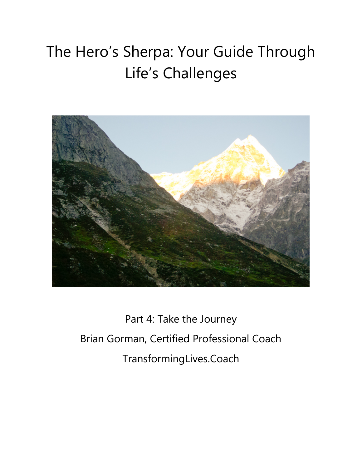# The Hero's Sherpa: Your Guide Through Life's Challenges



Part 4: Take the Journey Brian Gorman, Certified Professional Coach TransformingLives.Coach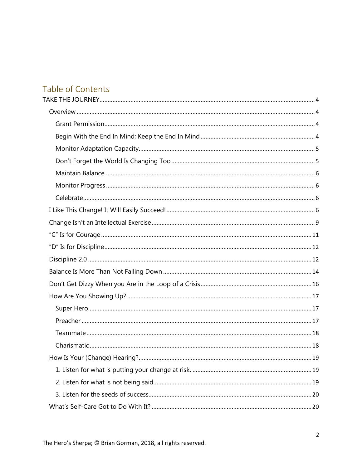# Table of Contents

| 19 |
|----|
|    |
|    |
|    |
|    |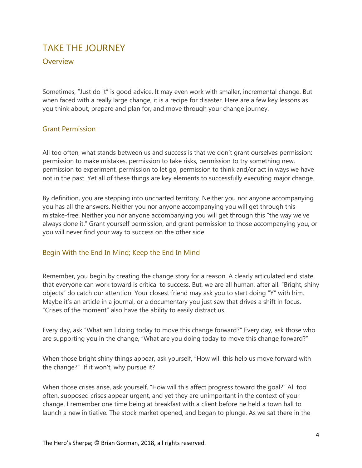## <span id="page-3-0"></span>TAKE THE JOURNEY

## <span id="page-3-1"></span>Overview

Sometimes, "Just do it" is good advice. It may even work with smaller, incremental change. But when faced with a really large change, it is a recipe for disaster. Here are a few key lessons as you think about, prepare and plan for, and move through your change journey.

#### <span id="page-3-2"></span>Grant Permission

All too often, what stands between us and success is that we don't grant ourselves permission: permission to make mistakes, permission to take risks, permission to try something new, permission to experiment, permission to let go, permission to think and/or act in ways we have not in the past. Yet all of these things are key elements to successfully executing major change.

By definition, you are stepping into uncharted territory. Neither you nor anyone accompanying you has all the answers. Neither you nor anyone accompanying you will get through this mistake-free. Neither you nor anyone accompanying you will get through this "the way we've always done it." Grant yourself permission, and grant permission to those accompanying you, or you will never find your way to success on the other side.

## <span id="page-3-3"></span>Begin With the End In Mind; Keep the End In Mind

Remember, you begin by creating the change story for a reason. A clearly articulated end state that everyone can work toward is critical to success. But, we are all human, after all. "Bright, shiny objects" do catch our attention. Your closest friend may ask you to start doing "Y" with him. Maybe it's an article in a journal, or a documentary you just saw that drives a shift in focus. "Crises of the moment" also have the ability to easily distract us.

Every day, ask "What am I doing today to move this change forward?" Every day, ask those who are supporting you in the change, "What are you doing today to move this change forward?"

When those bright shiny things appear, ask yourself, "How will this help us move forward with the change?" If it won't, why pursue it?

When those crises arise, ask yourself, "How will this affect progress toward the goal?" All too often, supposed crises appear urgent, and yet they are unimportant in the context of your change. I remember one time being at breakfast with a client before he held a town hall to launch a new initiative. The stock market opened, and began to plunge. As we sat there in the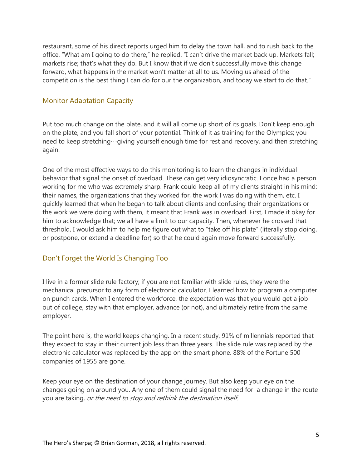restaurant, some of his direct reports urged him to delay the town hall, and to rush back to the office. "What am I going to do there," he replied. "I can't drive the market back up. Markets fall; markets rise; that's what they do. But I know that if we don't successfully move this change forward, what happens in the market won't matter at all to us. Moving us ahead of the competition is the best thing I can do for our the organization, and today we start to do that."

#### <span id="page-4-0"></span>Monitor Adaptation Capacity

Put too much change on the plate, and it will all come up short of its goals. Don't keep enough on the plate, and you fall short of your potential. Think of it as training for the Olympics; you need to keep stretching…giving yourself enough time for rest and recovery, and then stretching again.

One of the most effective ways to do this monitoring is to learn the changes in individual behavior that signal the onset of overload. These can get very idiosyncratic. I once had a person working for me who was extremely sharp. Frank could keep all of my clients straight in his mind: their names, the organizations that they worked for, the work I was doing with them, etc. I quickly learned that when he began to talk about clients and confusing their organizations or the work we were doing with them, it meant that Frank was in overload. First, I made it okay for him to acknowledge that; we all have a limit to our capacity. Then, whenever he crossed that threshold, I would ask him to help me figure out what to "take off his plate" (literally stop doing, or postpone, or extend a deadline for) so that he could again move forward successfully.

## <span id="page-4-1"></span>Don't Forget the World Is Changing Too

I live in a former [slide rule f](https://en.wikipedia.org/wiki/Slide_rule)actory; if you are not familiar with slide rules, they were the mechanical precursor to any form of electronic calculator. I learned how to program a computer on punch cards. When I entered the workforce, the expectation was that you would get a job out of college, stay with that employer, advance (or not), and ultimately retire from the same employer.

The point here is, the world keeps changing. In a recent study, 91% of millennials reported that they expect to stay in their current job less than three years. The slide rule was replaced by the electronic calculator was replaced by the app on the smart phone. 88% of the Fortune 500 companies of 1955 are gone.

Keep your eye on the destination of your change journey. But also keep your eye on the changes going on around you. Any one of them could signal the need for a change in the route you are taking, or the need to stop and rethink the destination itself.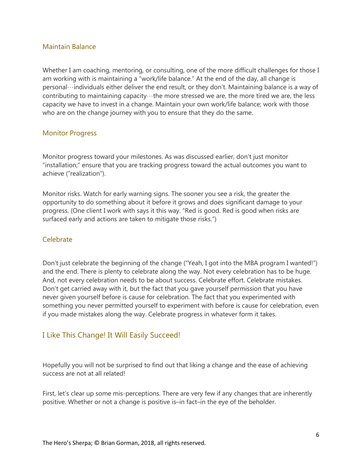#### <span id="page-5-0"></span>Maintain Balance

Whether I am coaching, mentoring, or consulting, one of the more difficult challenges for those I am working with is maintaining a "work/life balance." At the end of the day, all change is personal…individuals either deliver the end result, or they don't. Maintaining balance is a way of contributing to maintaining capacity…the more stressed we are, the more tired we are, the less capacity we have to invest in a change. Maintain your own work/life balance; work with those who are on the change journey with you to ensure that they do the same.

## <span id="page-5-1"></span>Monitor Progress

Monitor progress toward your milestones. As was discussed earlier, don't just monitor "installation;" ensure that you are tracking progress toward the actual outcomes you want to achieve ("realization").

Monitor risks. Watch for early warning signs. The sooner you see a risk, the greater the opportunity to do something about it before it grows and does significant damage to your progress. (One client I work with says it this way. "Red is good. Red is good when risks are surfaced early and actions are taken to mitigate those risks.")

#### <span id="page-5-2"></span>Celebrate

Don't just celebrate the beginning of the change ("Yeah, I got into the MBA program I wanted!") and the end. There is plenty to celebrate along the way. Not every celebration has to be huge. And, not every celebration needs to be about success. Celebrate effort. Celebrate mistakes. Don't get carried away with it, but the fact that you gave yourself permission that you have never given yourself before is cause for celebration. The fact that you experimented with something you never permitted yourself to experiment with before is cause for celebration, even if you made mistakes along the way. Celebrate progress in whatever form it takes.

## <span id="page-5-3"></span>I Like This Change! It Will Easily Succeed!

Hopefully you will not be surprised to find out that liking a change and the ease of achieving success are not at all related!

First, let's clear up some mis-perceptions. There are very few if any changes that are inherently positive. Whether or not a change is positive is–in fact–in the eye of the beholder.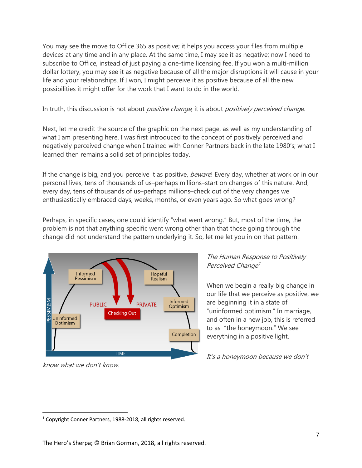You may see the move to Office 365 as positive; it helps you access your files from multiple devices at any time and in any place. At the same time, I may see it as negative; now I need to subscribe to Office, instead of just paying a one-time licensing fee. If you won a multi-million dollar lottery, you may see it as negative because of all the major disruptions it will cause in your life and your relationships. If I won, I might perceive it as positive because of all the new possibilities it might offer for the work that I want to do in the world.

In truth, this discussion is not about *positive change*; it is about *positively perceived change*.

Next, let me credit the source of the graphic on the next page, as well as my understanding of what I am presenting here. I was first introduced to the concept of positively perceived and negatively perceived change when I trained with [Conner Partners](http://www.connerpartners.com/) back in the late 1980's; what I learned then remains a solid set of principles today.

If the change is big, and you perceive it as positive, *beware*! Every day, whether at work or in our personal lives, tens of thousands of us–perhaps millions–start on changes of this nature. And, every day, tens of thousands of us–perhaps millions–check out of the very changes we enthusiastically embraced days, weeks, months, or even years ago. So what goes wrong?

Perhaps, in specific cases, one could identify "what went wrong." But, most of the time, the problem is not that anything specific went wrong other than that those going through the change did not understand the pattern underlying it. So, let me let you in on that pattern.



know what we don't know.

## The Human Response to Positively Perceived Change<sup>[1](#page-6-0)</sup>

When we begin a really big change in our life that we perceive as positive, we are beginning it in a state of "uninformed optimism." In marriage, and often in a new job, this is referred to as "the honeymoon." We see everything in a positive light.

It's a honeymoon because we don't

<span id="page-6-0"></span><sup>&</sup>lt;sup>1</sup> Copyright Conner Partners, 1988-2018, all rights reserved.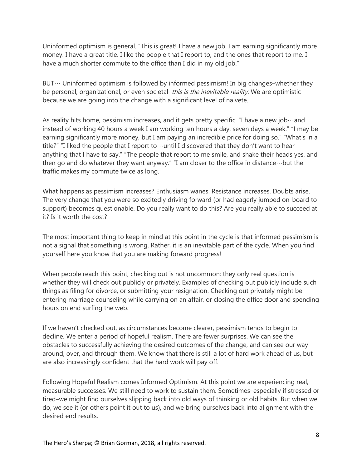Uninformed optimism is general. "This is great! I have a new job. I am earning significantly more money. I have a great title. I like the people that I report to, and the ones that report to me. I have a much shorter commute to the office than I did in my old job."

 $BUT \cdots$  Uninformed optimism is followed by informed pessimism! In big changes–whether they be personal, organizational, or even societal–this is the inevitable reality. We are optimistic because we are going into the change with a significant level of naivete.

As reality hits home, pessimism increases, and it gets pretty specific. "I have a new job  $\cdots$  and instead of working 40 hours a week I am working ten hours a day, seven days a week." "I may be earning significantly more money, but I am paying an incredible price for doing so." "What's in a title?" "I liked the people that I report to…until I discovered that they don't want to hear anything that I have to say." "The people that report to me smile, and shake their heads yes, and then go and do whatever they want anyway." "I am closer to the office in distance…but the traffic makes my commute twice as long."

What happens as pessimism increases? Enthusiasm wanes. Resistance increases. Doubts arise. The very change that you were so excitedly driving forward (or had eagerly jumped on-board to support) becomes questionable. Do you really want to do this? Are you really able to succeed at it? Is it worth the cost?

The most important thing to keep in mind at this point in the cycle is that informed pessimism is not a signal that something is wrong. Rather, it is an inevitable part of the cycle. When you find yourself here you know that you are making forward progress!

When people reach this point, checking out is not uncommon; they only real question is whether they will check out publicly or privately. Examples of checking out publicly include such things as filing for divorce, or submitting your resignation. Checking out privately might be entering marriage counseling while carrying on an affair, or closing the office door and spending hours on end surfing the web.

If we haven't checked out, as circumstances become clearer, pessimism tends to begin to decline. We enter a period of hopeful realism. There are fewer surprises. We can see the obstacles to successfully achieving the desired outcomes of the change, and can see our way around, over, and through them. We know that there is still a lot of hard work ahead of us, but are also increasingly confident that the hard work will pay off.

Following Hopeful Realism comes Informed Optimism. At this point we are experiencing real, measurable successes. We still need to work to sustain them. Sometimes–especially if stressed or tired–we might find ourselves slipping back into old ways of thinking or old habits. But when we do, we see it (or others point it out to us), and we bring ourselves back into alignment with the desired end results.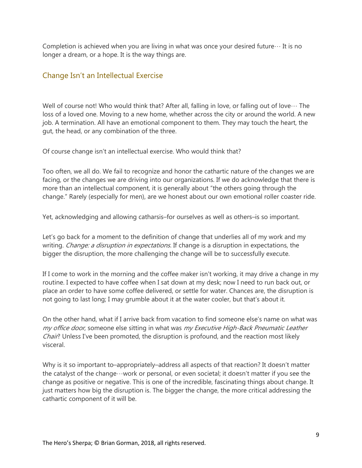Completion is achieved when you are living in what was once your desired future... It is no longer a dream, or a hope. It is the way things are.

## <span id="page-8-0"></span>Change Isn't an Intellectual Exercise

Well of course not! Who would think that? After all, falling in love, or falling out of love  $\cdots$  The loss of a loved one. Moving to a new home, whether across the city or around the world. A new job. A termination. All have an emotional component to them. They may touch the heart, the gut, the head, or any combination of the three.

Of course change isn't an intellectual exercise. Who would think that?

Too often, we all do. We fail to recognize and honor the cathartic nature of the changes we are facing, or the changes we are driving into our organizations. If we do acknowledge that there is more than an intellectual component, it is generally about "the others going through the change." Rarely (especially for men), are we honest about our own emotional roller coaster ride.

Yet, acknowledging and allowing catharsis–for ourselves as well as others–is so important.

Let's go back for a moment to the definition of change that underlies all of my work and my writing. Change: a disruption in expectations. If change is a disruption in expectations, the bigger the disruption, the more challenging the change will be to successfully execute.

If I come to work in the morning and the coffee maker isn't working, it may drive a change in my routine. I expected to have coffee when I sat down at my desk; now I need to run back out, or place an order to have some coffee delivered, or settle for water. Chances are, the disruption is not going to last long; I may grumble about it at the water cooler, but that's about it.

On the other hand, what if I arrive back from vacation to find someone else's name on what was my office door, someone else sitting in what was my Executive High-Back Pneumatic Leather Chair? Unless I've been promoted, the disruption is profound, and the reaction most likely visceral.

Why is it so important to–appropriately–address all aspects of that reaction? It doesn't matter the catalyst of the change…work or personal, or even societal; it doesn't matter if you see the change as positive or negative. This is one of the incredible, fascinating things about change. It just matters how big the disruption is. The bigger the change, the more critical addressing the cathartic component of it will be.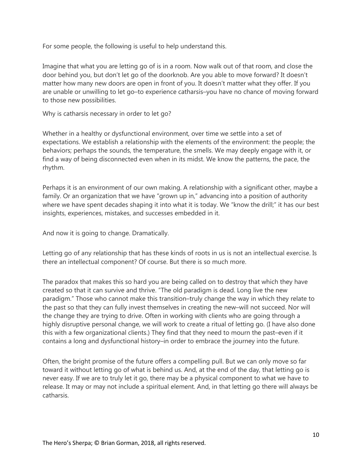For some people, the following is useful to help understand this.

Imagine that what you are letting go of is in a room. Now walk out of that room, and close the door behind you, but don't let go of the doorknob. Are you able to move forward? It doesn't matter how many new doors are open in front of you. It doesn't matter what they offer. If you are unable or unwilling to let go–to experience catharsis–you have no chance of moving forward to those new possibilities.

Why is catharsis necessary in order to let go?

Whether in a healthy or dysfunctional environment, over time we settle into a set of expectations. We establish a relationship with the elements of the environment: the people; the behaviors; perhaps the sounds, the temperature, the smells. We may deeply engage with it, or find a way of being disconnected even when in its midst. We know the patterns, the pace, the rhythm.

Perhaps it is an environment of our own making. A relationship with a significant other, maybe a family. Or an organization that we have "grown up in," advancing into a position of authority where we have spent decades shaping it into what it is today. We "know the drill;" it has our best insights, experiences, mistakes, and successes embedded in it.

And now it is going to change. Dramatically.

Letting go of any relationship that has these kinds of roots in us is not an intellectual exercise. Is there an intellectual component? Of course. But there is so much more.

The paradox that makes this so hard you are being called on to destroy that which they have created so that it can survive and thrive. "The old paradigm is dead. Long live the new paradigm." Those who cannot make this transition–truly change the way in which they relate to the past so that they can fully invest themselves in creating the new–will not succeed. Nor will the change they are trying to drive. Often in working with clients who are going through a highly disruptive personal change, we will work to create a ritual of letting go. (I have also done this with a few organizational clients.) They find that they need to mourn the past–even if it contains a long and dysfunctional history–in order to embrace the journey into the future.

Often, the bright promise of the future offers a compelling pull. But we can only move so far toward it without letting go of what is behind us. And, at the end of the day, that letting go is never easy. If we are to truly let it go, there may be a physical component to what we have to release. It may or may not include a spiritual element. And, in that letting go there will always be catharsis.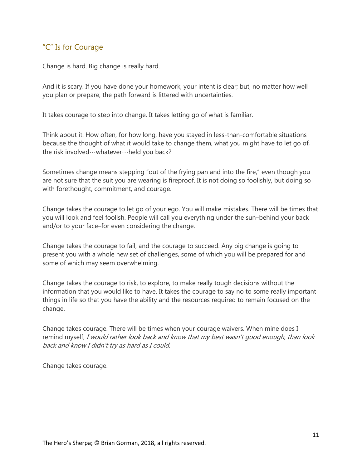## <span id="page-10-0"></span>"C" Is for Courage

Change is hard. Big change is really hard.

And it is scary. If you have done your homework, your intent is clear; but, no matter how well you plan or prepare, the path forward is littered with uncertainties.

It takes courage to step into change. It takes letting go of what is familiar.

Think about it. How often, for how long, have you stayed in less-than-comfortable situations because the thought of what it would take to change them, what you might have to let go of, the risk involved…whatever…held you back?

Sometimes change means stepping "out of the frying pan and into the fire," even though you are not sure that the suit you are wearing is fireproof. It is not doing so foolishly, but doing so with forethought, commitment, and courage.

Change takes the courage to let go of your ego. You will make mistakes. There will be times that you will look and feel foolish. People will call you everything under the sun–behind your back and/or to your face–for even considering the change.

Change takes the courage to fail, and the courage to succeed. Any big change is going to present you with a whole new set of challenges, some of which you will be prepared for and some of which may seem overwhelming.

Change takes the courage to risk, to explore, to make really tough decisions without the information that you would like to have. It takes the courage to say no to some really important things in life so that you have the ability and the resources required to remain focused on the change.

Change takes courage. There will be times when your courage waivers. When mine does I remind myself, I would rather look back and know that my best wasn't good enough, than look back and know I didn't try as hard as I could.

Change takes courage.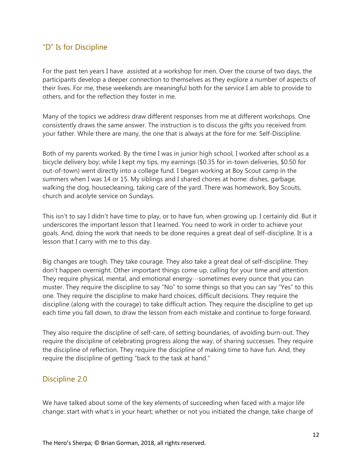## <span id="page-11-0"></span>"D" Is for Discipline

For the past ten years I have assisted at a workshop for men. Over the course of two days, the participants develop a deeper connection to themselves as they explore a number of aspects of their lives. For me, these weekends are meaningful both for the service I am able to provide to others, and for the reflection they foster in me.

Many of the topics we address draw different responses from me at different workshops. One consistently draws the same answer. The instruction is to discuss the gifts you received from your father. While there are many, the one that is always at the fore for me: Self-Discipline.

Both of my parents worked. By the time I was in junior high school, I worked after school as a bicycle delivery boy; while I kept my tips, my earnings (\$0.35 for in-town deliveries, \$0.50 for out-of-town) went directly into a college fund. I began working at Boy Scout camp in the summers when I was 14 or 15. My siblings and I shared chores at home: dishes, garbage, walking the dog, housecleaning, taking care of the yard. There was homework, Boy Scouts, church and acolyte service on Sundays.

This isn't to say I didn't have time to play, or to have fun, when growing up. I certainly did. But it underscores the important lesson that I learned. You need to work in order to achieve your goals. And, doing the work that needs to be done requires a great deal of self-discipline. It is a lesson that I carry with me to this day.

Big changes are tough. They take courage. They also take a great deal of self-discipline. They don't happen overnight. Other important things come up, calling for your time and attention. They require physical, mental, and emotional energy…sometimes every ounce that you can muster. They require the discipline to say "No" to some things so that you can say "Yes" to this one. They require the discipline to make hard choices, difficult decisions. They require the discipline (along with the courage) to take difficult action. They require the discipline to get up each time you fall down, to draw the lesson from each mistake and continue to forge forward.

They also require the discipline of self-care, of setting boundaries, of avoiding burn-out. They require the discipline of celebrating progress along the way, of sharing successes. They require the discipline of reflection. They require the discipline of making time to have fun. And, they require the discipline of getting "back to the task at hand."

## <span id="page-11-1"></span>Discipline 2.0

We have talked about some of the key elements of succeeding when faced with a major life change: start with what's in your heart; whether or not you initiated the change, take charge of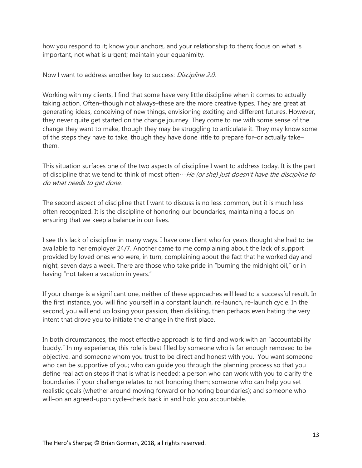how you respond to it; know your anchors, and your relationship to them; focus on what is important, not what is urgent; maintain your equanimity.

#### Now I want to address another key to success: Discipline 2.0.

Working with my clients, I find that some have very little discipline when it comes to actually taking action. Often–though not always–these are the more creative types. They are great at generating ideas, conceiving of new things, envisioning exciting and different futures. However, they never quite get started on the change journey. They come to me with some sense of the change they want to make, though they may be struggling to articulate it. They may know some of the steps they have to take, though they have done little to prepare for–or actually take– them.

This situation surfaces one of the two aspects of discipline I want to address today. It is the part of discipline that we tend to think of most often $\cdots$  He (or she) just doesn't have the discipline to do what needs to get done.

The second aspect of discipline that I want to discuss is no less common, but it is much less often recognized. It is the discipline of honoring our boundaries, maintaining a focus on ensuring that we keep a balance in our lives.

I see this lack of discipline in many ways. I have one client who for years thought she had to be available to her employer 24/7. Another came to me complaining about the lack of support provided by loved ones who were, in turn, complaining about the fact that he worked day and night, seven days a week. There are those who take pride in "burning the midnight oil," or in having "not taken a vacation in years."

If your change is a significant one, neither of these approaches will lead to a successful result. In the first instance, you will find yourself in a constant launch, re-launch, re-launch cycle. In the second, you will end up losing your passion, then disliking, then perhaps even hating the very intent that drove you to initiate the change in the first place.

In both circumstances, the most effective approach is to find and work with an "accountability buddy." In my experience, this role is best filled by someone who is far enough removed to be objective, and someone whom you trust to be direct and honest with you. You want someone who can be supportive of you; who can guide you through the planning process so that you define real action steps if that is what is needed; a person who can work with you to clarify the boundaries if your challenge relates to not honoring them; someone who can help you set realistic goals (whether around moving forward or honoring boundaries); and someone who will–on an agreed-upon cycle–check back in and hold you accountable.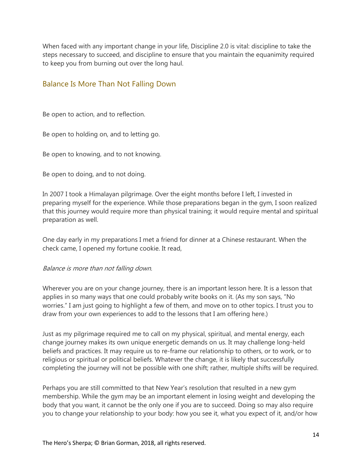When faced with any important change in your life, Discipline 2.0 is vital: discipline to take the steps necessary to succeed, and discipline to ensure that you maintain the equanimity required to keep you from burning out over the long haul.

## <span id="page-13-0"></span>Balance Is More Than Not Falling Down

Be open to action, and to reflection.

Be open to holding on, and to letting go.

Be open to knowing, and to not knowing.

Be open to doing, and to not doing.

In 2007 I took a Himalayan pilgrimage. Over the eight months before I left, I invested in preparing myself for the experience. While those preparations began in the gym, I soon realized that this journey would require more than physical training; it would require mental and spiritual preparation as well.

One day early in my preparations I met a friend for dinner at a Chinese restaurant. When the check came, I opened my fortune cookie. It read,

#### Balance is more than not falling down.

Wherever you are on your change journey, there is an important lesson here. It is a lesson that applies in so many ways that one could probably write books on it. (As my son says, "No worries." I am just going to highlight a few of them, and move on to other topics. I trust you to draw from your own experiences to add to the lessons that I am offering here.)

Just as my pilgrimage required me to call on my physical, spiritual, and mental energy, each change journey makes its own unique energetic demands on us. It may challenge long-held beliefs and practices. It may require us to re-frame our relationship to others, or to work, or to religious or spiritual or political beliefs. Whatever the change, it is likely that successfully completing the journey will not be possible with one shift; rather, multiple shifts will be required.

Perhaps you are still committed to that New Year's resolution that resulted in a new gym membership. While the gym may be an important element in losing weight and developing the body that you want, it cannot be the only one if you are to succeed. Doing so may also require you to change your relationship to your body: how you see it, what you expect of it, and/or how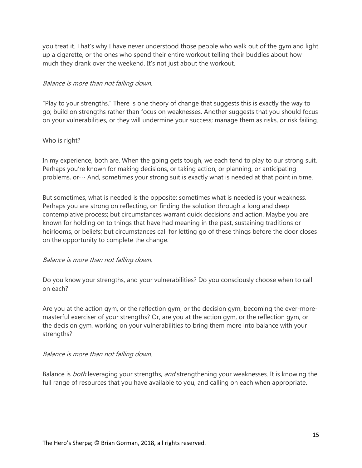you treat it. That's why I have never understood those people who walk out of the gym and light up a cigarette, or the ones who spend their entire workout telling their buddies about how much they drank over the weekend. It's not just about the workout.

#### Balance is more than not falling down.

"Play to your strengths." There is one theory of change that suggests this is exactly the way to go; build on strengths rather than focus on weaknesses. Another suggests that you should focus on your vulnerabilities, or they will undermine your success; manage them as risks, or risk failing.

#### Who is right?

In my experience, both are. When the going gets tough, we each tend to play to our strong suit. Perhaps you're known for making decisions, or taking action, or planning, or anticipating problems, or… And, sometimes your strong suit is exactly what is needed at that point in time.

But sometimes, what is needed is the opposite; sometimes what is needed is your weakness. Perhaps you are strong on reflecting, on finding the solution through a long and deep contemplative process; but circumstances warrant quick decisions and action. Maybe you are known for holding on to things that have had meaning in the past, sustaining traditions or heirlooms, or beliefs; but circumstances call for letting go of these things before the door closes on the opportunity to complete the change.

#### Balance is more than not falling down.

Do you know your strengths, and your vulnerabilities? Do you consciously choose when to call on each?

Are you at the action gym, or the reflection gym, or the decision gym, becoming the ever-moremasterful exerciser of your strengths? Or, are you at the action gym, or the reflection gym, or the decision gym, working on your vulnerabilities to bring them more into balance with your strengths?

#### Balance is more than not falling down.

Balance is *both* leveraging your strengths, *and* strengthening your weaknesses. It is knowing the full range of resources that you have available to you, and calling on each when appropriate.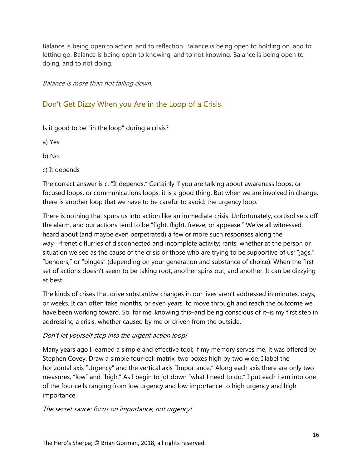Balance is being open to action, and to reflection. Balance is being open to holding on, and to letting go. Balance is being open to knowing, and to not knowing. Balance is being open to doing, and to not doing.

Balance is more than not falling down.

## <span id="page-15-0"></span>Don't Get Dizzy When you Are in the Loop of a Crisis

Is it good to be "in the loop" during a crisis?

a) Yes

b) No

c) It depends

The correct answer is c, "It depends." Certainly if you are talking about awareness loops, or focused loops, or communications loops, it is a good thing. But when we are involved in change, there is another loop that we have to be careful to avoid: the urgency loop.

There is nothing that spurs us into action like an immediate crisis. Unfortunately, cortisol sets off the alarm, and our actions tend to be "fight, flight, freeze, or appease." We've all witnessed, heard about (and maybe even perpetrated) a few or more such responses along the way…frenetic flurries of disconnected and incomplete activity; rants, whether at the person or situation we see as the cause of the crisis or those who are trying to be supportive of us; "jags," "benders," or "binges" (depending on your generation and substance of choice). When the first set of actions doesn't seem to be taking root, another spins out, and another. It can be dizzying at best!

The kinds of crises that drive substantive changes in our lives aren't addressed in minutes, days, or weeks. It can often take months, or even years, to move through and reach the outcome we have been working toward. So, for me, knowing this–and being conscious of it–is my first step in addressing a crisis, whether caused by me or driven from the outside.

#### Don't let yourself step into the urgent action loop!

Many years ago I learned a simple and effective tool; if my memory serves me, it was offered by Stephen Covey. Draw a simple four-cell matrix, two boxes high by two wide. I label the horizontal axis "Urgency" and the vertical axis "Importance." Along each axis there are only two measures, "low" and "high." As I begin to jot down "what I need to do," I put each item into one of the four cells ranging from low urgency and low importance to high urgency and high importance.

The secret sauce: focus on importance, not urgency!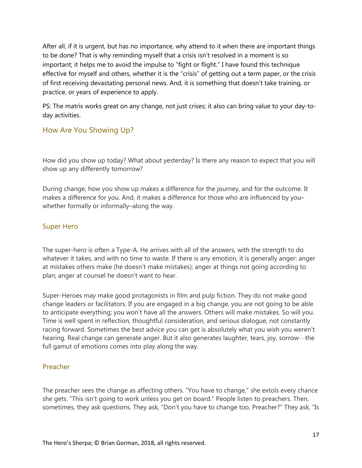After all, if it is urgent, but has no importance, why attend to it when there are important things to be done? That is why reminding myself that a crisis isn't resolved in a moment is so important; it helps me to avoid the impulse to "fight or flight." I have found this technique effective for myself and others, whether it is the "crisis" of getting out a term paper, or the crisis of first receiving devastating personal news. And, it is something that doesn't take training, or practice, or years of experience to apply.

PS: The matrix works great on any change, not just crises; it also can bring value to your day-today activities.

## <span id="page-16-0"></span>How Are You Showing Up?

How did you show up today? What about yesterday? Is there any reason to expect that you will show up any differently tomorrow?

During change, how you show up makes a difference for the journey, and for the outcome. It makes a difference for you. And, it makes a difference for those who are influenced by you– whether formally or informally–along the way.

## <span id="page-16-1"></span>Super Hero

The super-hero is often a Type-A. He arrives with all of the answers, with the strength to do whatever it takes, and with no time to waste. If there is any emotion, it is generally anger: anger at mistakes others make (he doesn't make mistakes); anger at things not going according to plan; anger at counsel he doesn't want to hear.

Super-Heroes may make good protagonists in film and pulp fiction. They do not make good change leaders or facilitators. If you are engaged in a big change, you are not going to be able to anticipate everything; you won't have all the answers. Others will make mistakes. So will you. Time is well spent in reflection, thoughtful consideration, and serious dialogue, not constantly racing forward. Sometimes the best advice you can get is absolutely what you wish you weren't hearing. Real change can generate anger. But it also generates laughter, tears, joy, sorrow…the full gamut of emotions comes into play along the way.

#### <span id="page-16-2"></span>Preacher

The preacher sees the change as affecting others. "You have to change," she extols every chance she gets. "This isn't going to work unless you get on board." People listen to preachers. Then, sometimes, they ask questions. They ask, "Don't you have to change too, Preacher?" They ask, "Is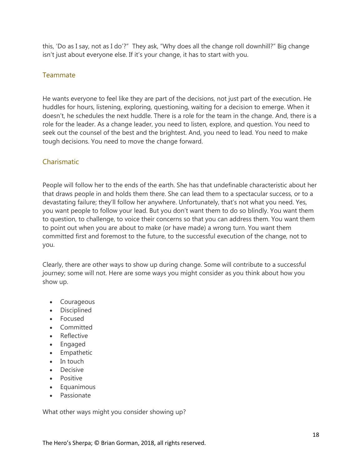this, 'Do as I say, not as I do'?" They ask, "Why does all the change roll downhill?" Big change isn't just about everyone else. If it's your change, it has to start with you.

## <span id="page-17-0"></span>**Teammate**

He wants everyone to feel like they are part of the decisions, not just part of the execution. He huddles for hours, listening, exploring, questioning, waiting for a decision to emerge. When it doesn't, he schedules the next huddle. There is a role for the team in the change. And, there is a role for the leader. As a change leader, you need to listen, explore, and question. You need to seek out the counsel of the best and the brightest. And, you need to lead. You need to make tough decisions. You need to move the change forward.

## <span id="page-17-1"></span>Charismatic

People will follow her to the ends of the earth. She has that undefinable characteristic about her that draws people in and holds them there. She can lead them to a spectacular success, or to a devastating failure; they'll follow her anywhere. Unfortunately, that's not what you need. Yes, you want people to follow your lead. But you don't want them to do so blindly. You want them to question, to challenge, to voice their concerns so that you can address them. You want them to point out when you are about to make (or have made) a wrong turn. You want them committed first and foremost to the future, to the successful execution of the change, not to you.

Clearly, there are other ways to show up during change. Some will contribute to a successful journey; some will not. Here are some ways you might consider as you think about how you show up.

- Courageous
- Disciplined
- Focused
- Committed
- Reflective
- Engaged
- Empathetic
- In touch
- Decisive
- Positive
- Equanimous
- Passionate

What other ways might you consider showing up?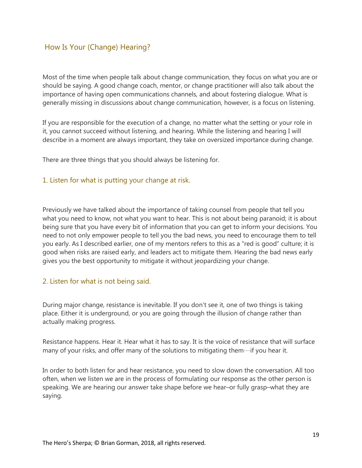## <span id="page-18-0"></span>How Is Your (Change) Hearing?

Most of the time when people talk about change communication, they focus on what you are or should be saying. A good change coach, mentor, or change practitioner will also talk about the importance of having open communications channels, and about fostering dialogue. What is generally missing in discussions about change communication, however, is a focus on listening.

If you are responsible for the execution of a change, no matter what the setting or your role in it, you cannot succeed without listening, and hearing. While the listening and hearing I will describe in a moment are always important, they take on oversized importance during change.

There are three things that you should always be listening for.

## <span id="page-18-1"></span>1. Listen for what is putting your change at risk.

Previously we have talked about the importance of taking counsel from people that tell you what you need to know, not what you want to hear. This is not about being paranoid; it is about being sure that you have every bit of information that you can get to inform your decisions. You need to not only empower people to tell you the bad news, you need to encourage them to tell you early. As I described earlier, one of my mentors refers to this as a "red is good" culture; it is good when risks are raised early, and leaders act to mitigate them. Hearing the bad news early gives you the best opportunity to mitigate it without jeopardizing your change.

#### <span id="page-18-2"></span>2. Listen for what is not being said.

During major change, resistance is inevitable. If you don't see it, one of two things is taking place. Either it is underground, or you are going through the illusion of change rather than actually making progress.

Resistance happens. Hear it. Hear what it has to say. It is the voice of resistance that will surface many of your risks, and offer many of the solutions to mitigating them $\cdots$ if you hear it.

In order to both listen for and hear resistance, you need to slow down the conversation. All too often, when we listen we are in the process of formulating our response as the other person is speaking. We are hearing our answer take shape before we hear–or fully grasp–what they are saying.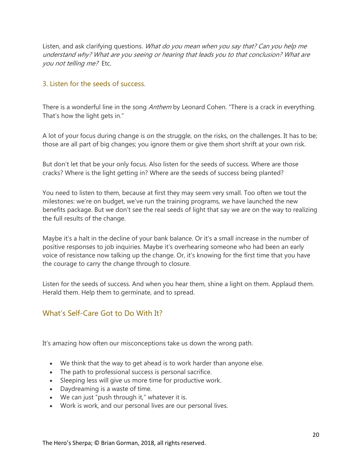Listen, and ask clarifying questions. What do you mean when you say that? Can you help me understand why? What are you seeing or hearing that leads you to that conclusion? What are you not telling me? Etc.

## <span id="page-19-0"></span>3. Listen for the seeds of success.

There is a wonderful line in the song *Anthem* by Leonard Cohen. "There is a crack in everything. That's how the light gets in."

A lot of your focus during change is on the struggle, on the risks, on the challenges. It has to be; those are all part of big changes; you ignore them or give them short shrift at your own risk.

But don't let that be your only focus. Also listen for the seeds of success. Where are those cracks? Where is the light getting in? Where are the seeds of success being planted?

You need to listen to them, because at first they may seem very small. Too often we tout the milestones: we're on budget, we've run the training programs, we have launched the new benefits package. But we don't see the real seeds of light that say we are on the way to realizing the full results of the change.

Maybe it's a halt in the decline of your bank balance. Or it's a small increase in the number of positive responses to job inquiries. Maybe it's overhearing someone who had been an early voice of resistance now talking up the change. Or, it's knowing for the first time that you have the courage to carry the change through to closure.

Listen for the seeds of success. And when you hear them, shine a light on them. Applaud them. Herald them. Help them to germinate, and to spread.

## <span id="page-19-1"></span>What's Self-Care Got to Do With It?

It's amazing how often our misconceptions take us down the wrong path.

- We think that the way to get ahead is to work harder than anyone else.
- The path to professional success is personal sacrifice.
- Sleeping less will give us more time for productive work.
- Daydreaming is a waste of time.
- We can just "push through it," whatever it is.
- Work is work, and our personal lives are our personal lives.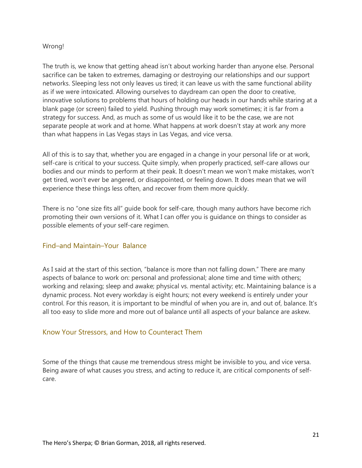#### Wrong!

The truth is, we know that getting ahead isn't about working harder than anyone else. Personal sacrifice can be taken to extremes, damaging or destroying our relationships and our support networks. Sleeping less not only leaves us tired; it can leave us with the same functional ability as if we were intoxicated. Allowing ourselves to daydream can open the door to creative, innovative solutions to problems that hours of holding our heads in our hands while staring at a blank page (or screen) failed to yield. Pushing through may work sometimes; it is far from a strategy for success. And, as much as some of us would like it to be the case, we are not separate people at work and at home. What happens at work doesn't stay at work any more than what happens in Las Vegas stays in Las Vegas, and vice versa.

All of this is to say that, whether you are engaged in a change in your personal life or at work, self-care is critical to your success. Quite simply, when properly practiced, self-care allows our bodies and our minds to perform at their peak. It doesn't mean we won't make mistakes, won't get tired, won't ever be angered, or disappointed, or feeling down. It does mean that we will experience these things less often, and recover from them more quickly.

There is no "one size fits all" guide book for self-care, though many authors have become rich promoting their own versions of it. What I can offer you is guidance on things to consider as possible elements of your self-care regimen.

#### <span id="page-20-0"></span>Find–and Maintain–Your Balance

As I said at the start of this section, "balance is more than not falling down." There are many aspects of balance to work on: personal and professional; alone time and time with others; working and relaxing; sleep and awake; physical vs. mental activity; etc. Maintaining balance is a dynamic process. Not every workday is eight hours; not every weekend is entirely under your control. For this reason, it is important to be mindful of when you are in, and out of, balance. It's all too easy to slide more and more out of balance until all aspects of your balance are askew.

#### <span id="page-20-1"></span>Know Your Stressors, and How to Counteract Them

Some of the things that cause me tremendous stress might be invisible to you, and vice versa. Being aware of what causes you stress, and acting to reduce it, are critical components of selfcare.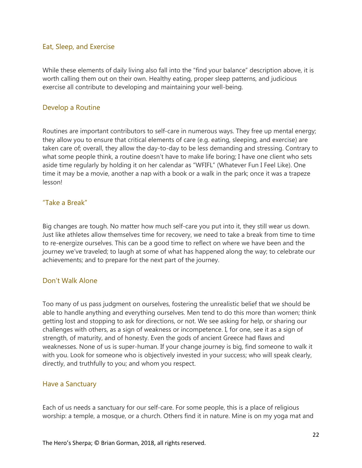#### <span id="page-21-0"></span>Eat, Sleep, and Exercise

While these elements of daily living also fall into the "find your balance" description above, it is worth calling them out on their own. Healthy eating, proper sleep patterns, and judicious exercise all contribute to developing and maintaining your well-being.

#### <span id="page-21-1"></span>Develop a Routine

Routines are important contributors to self-care in numerous ways. They free up mental energy; they allow you to ensure that critical elements of care (e.g. eating, sleeping, and exercise) are taken care of; overall, they allow the day-to-day to be less demanding and stressing. Contrary to what some people think, a routine doesn't have to make life boring; I have one client who sets aside time regularly by holding it on her calendar as "WFIFL" (Whatever Fun I Feel Like). One time it may be a movie, another a nap with a book or a walk in the park; once it was a trapeze lesson!

#### <span id="page-21-2"></span>"Take a Break"

Big changes are tough. No matter how much self-care you put into it, they still wear us down. Just like athletes allow themselves time for recovery, we need to take a break from time to time to re-energize ourselves. This can be a good time to reflect on where we have been and the journey we've traveled; to laugh at some of what has happened along the way; to celebrate our achievements; and to prepare for the next part of the journey.

#### <span id="page-21-3"></span>Don't Walk Alone

Too many of us pass judgment on ourselves, fostering the unrealistic belief that we should be able to handle anything and everything ourselves. Men tend to do this more than women; think getting lost and stopping to ask for directions, or not. We see asking for help, or sharing our challenges with others, as a sign of weakness or incompetence. I, for one, see it as a sign of strength, of maturity, and of honesty. Even the gods of ancient Greece had flaws and weaknesses. None of us is super-human. If your change journey is big, find someone to walk it with you. Look for someone who is objectively invested in your success; who will speak clearly, directly, and truthfully to you; and whom you respect.

#### <span id="page-21-4"></span>Have a Sanctuary

Each of us needs a sanctuary for our self-care. For some people, this is a place of religious worship: a temple, a mosque, or a church. Others find it in nature. Mine is on my yoga mat and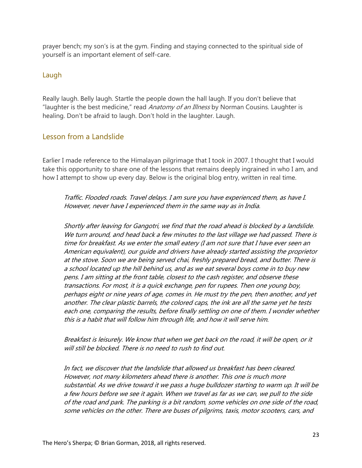prayer bench; my son's is at the gym. Finding and staying connected to the spiritual side of yourself is an important element of self-care.

## <span id="page-22-0"></span>Laugh

Really laugh. Belly laugh. Startle the people down the hall laugh. If you don't believe that "laughter is the best medicine," read Anatomy of an Illness by Norman Cousins. Laughter is healing. Don't be afraid to laugh. Don't hold in the laughter. Laugh.

## <span id="page-22-1"></span>Lesson from a Landslide

Earlier I made reference to the Himalayan pilgrimage that I took in 2007. I thought that I would take this opportunity to share one of the lessons that remains deeply ingrained in who I am, and how I attempt to show up every day. Below is the original blog entry, written in real time.

Traffic. Flooded roads. Travel delays. I am sure you have experienced them, as have I. However, never have I experienced them in the same way as in India.

Shortly after leaving for Gangotri, we find that the road ahead is blocked by a landslide. We turn around, and head back a few minutes to the last village we had passed. There is time for breakfast. As we enter the small eatery (I am not sure that I have ever seen an American equivalent), our guide and drivers have already started assisting the proprietor at the stove. Soon we are being served chai, freshly prepared bread, and butter. There is a school located up the hill behind us, and as we eat several boys come in to buy new pens. I am sitting at the front table, closest to the cash register, and observe these transactions. For most, it is a quick exchange, pen for rupees. Then one young boy, perhaps eight or nine years of age, comes in. He must try the pen, then another, and yet another. The clear plastic barrels, the colored caps, the ink are all the same yet he tests each one, comparing the results, before finally settling on one of them. I wonder whether this is a habit that will follow him through life, and how it will serve him.

Breakfast is leisurely. We know that when we get back on the road, it will be open, or it will still be blocked. There is no need to rush to find out.

In fact, we discover that the landslide that allowed us breakfast has been cleared. However, not many kilometers ahead there is another. This one is much more substantial. As we drive toward it we pass a huge bulldozer starting to warm up. It will be a few hours before we see it again. When we travel as far as we can, we pull to the side of the road and park. The parking is a bit random, some vehicles on one side of the road, some vehicles on the other. There are buses of pilgrims, taxis, motor scooters, cars, and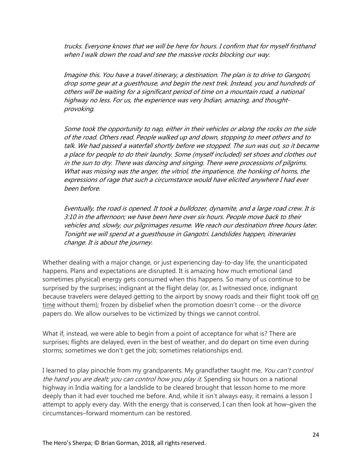trucks. Everyone knows that we will be here for hours. I confirm that for myself firsthand when I walk down the road and see the massive rocks blocking our way.

Imagine this. You have a travel itinerary, a destination. The plan is to drive to Gangotri, drop some gear at a guesthouse, and begin the next trek. Instead, you and hundreds of others will be waiting for a significant period of time on a mountain road, a national highway no less. For us, the experience was very Indian, amazing, and thoughtprovoking.

Some took the opportunity to nap, either in their vehicles or along the rocks on the side of the road. Others read. People walked up and down, stopping to meet others and to talk. We had passed a waterfall shortly before we stopped. The sun was out, so it became a place for people to do their laundry. Some (myself included) set shoes and clothes out in the sun to dry. There was dancing and singing. There were processions of pilgrims. What was missing was the anger, the vitriol, the impatience, the honking of horns, the expressions of rage that such a circumstance would have elicited anywhere I had ever been before.

Eventually, the road is opened. It took a bulldozer, dynamite, and a large road crew. It is 3:10 in the afternoon; we have been here over six hours. People move back to their vehicles and, slowly, our pilgrimages resume. We reach our destination three hours later. Tonight we will spend at a guesthouse in Gangotri. Landslides happen, itineraries change. It is about the journey.

Whether dealing with a major change, or just experiencing day-to-day life, the unanticipated happens. Plans and expectations are disrupted. It is amazing how much emotional (and sometimes physical) energy gets consumed when this happens. So many of us continue to be surprised by the surprises; indignant at the flight delay (or, as I witnessed once, indignant because travelers were delayed getting to the airport by snowy roads and their flight took off on  $time$  without them); frozen by disbelief when the promotion doesn't come $\cdots$ or the divorce papers do. We allow ourselves to be victimized by things we cannot control.

What if, instead, we were able to begin from a point of acceptance for what is? There are surprises; flights are delayed, even in the best of weather, and do depart on time even during storms; sometimes we don't get the job; sometimes relationships end.

I learned to play pinochle from my grandparents. My grandfather taught me, You can't control the hand you are dealt; you can control how you play it. Spending six hours on a national highway in India waiting for a landslide to be cleared brought that lesson home to me more deeply than it had ever touched me before. And, while it isn't always easy, it remains a lesson I attempt to apply every day. With the energy that is conserved, I can then look at how–given the circumstances–forward momentum can be restored.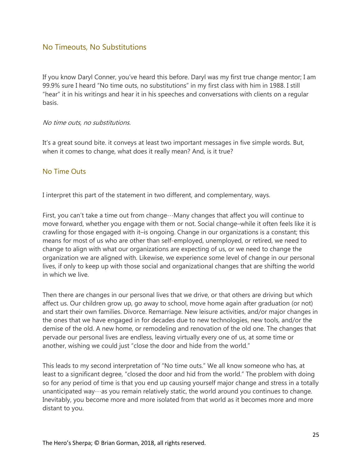## <span id="page-24-0"></span>No Timeouts, No Substitutions

If you know Daryl Conner, you've heard this before. Daryl was my first true change mentor; I am 99.9% sure I heard "No time outs, no substitutions" in my first class with him in 1988. I still "hear" it in his writings and hear it in his speeches and conversations with clients on a regular basis.

#### No time outs, no substitutions.

It's a great sound bite. it conveys at least two important messages in five simple words. But, when it comes to change, what does it really mean? And, is it true?

#### <span id="page-24-1"></span>No Time Outs

I interpret this part of the statement in two different, and complementary, ways.

First, you can't take a time out from change…Many changes that affect you will continue to move forward, whether you engage with them or not. Social change–while it often feels like it is crawling for those engaged with it–is ongoing. Change in our organizations is a constant; this means for most of us who are other than self-employed, unemployed, or retired, we need to change to align with what our organizations are expecting of us, or we need to change the organization we are aligned with. Likewise, we experience some level of change in our personal lives, if only to keep up with those social and organizational changes that are shifting the world in which we live.

Then there are changes in our personal lives that we drive, or that others are driving but which affect us. Our children grow up, go away to school, move home again after graduation (or not) and start their own families. Divorce. Remarriage. New leisure activities, and/or major changes in the ones that we have engaged in for decades due to new technologies, new tools, and/or the demise of the old. A new home, or remodeling and renovation of the old one. The changes that pervade our personal lives are endless, leaving virtually every one of us, at some time or another, wishing we could just "close the door and hide from the world."

This leads to my second interpretation of "No time outs." We all know someone who has, at least to a significant degree, "closed the door and hid from the world." The problem with doing so for any period of time is that you end up causing yourself major change and stress in a totally unanticipated way…as you remain relatively static, the world around you continues to change. Inevitably, you become more and more isolated from that world as it becomes more and more distant to you.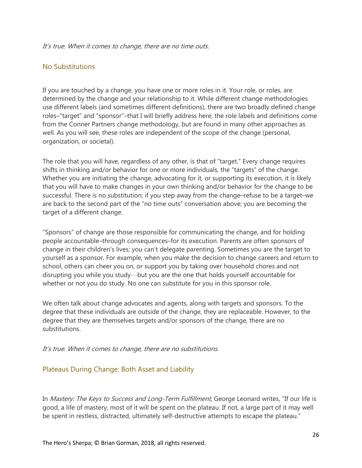#### It's true. When it comes to change, there are no time outs.

## <span id="page-25-0"></span>No Substitutions

If you are touched by a change, you have one or more roles in it. Your role, or roles, are determined by the change and your relationship to it. While different change methodologies use different labels (and sometimes different definitions), there are two broadly defined change roles–"target" and "sponsor"–that I will briefly address here; the role labels and definitions come from the Conner Partners change methodology, but are found in many other approaches as well. As you will see, these roles are independent of the scope of the change (personal, organization, or societal).

The role that you will have, regardless of any other, is that of "target." Every change requires shifts in thinking and/or behavior for one or more individuals, the "targets" of the change. Whether you are initiating the change, advocating for it, or supporting its execution, it is likely that you will have to make changes in your own thinking and/or behavior for the change to be successful. There is no substitution; if you step away from the change–refuse to be a target–we are back to the second part of the "no time outs" conversation above; you are becoming the target of a different change.

"Sponsors" of change are those responsible for communicating the change, and for holding people accountable–through consequences–for its execution. Parents are often sponsors of change in their children's lives; you can't delegate parenting. Sometimes you are the target to yourself as a sponsor. For example, when you make the decision to change careers and return to school, others can cheer you on, or support you by taking over household chores and not disrupting you while you study…but you are the one that holds yourself accountable for whether or not you do study. No one can substitute for you in this sponsor role.

We often talk about change advocates and agents, along with targets and sponsors. To the degree that these individuals are outside of the change, they are replaceable. However, to the degree that they are themselves targets and/or sponsors of the change, there are no substitutions.

#### It's true. When it comes to change, there are no substitutions.

#### <span id="page-25-1"></span>Plateaus During Change: Both Asset and Liability

In *Mastery: The Keys to Success and Long-Term Fulfillment*, George Leonard writes, "If our life is good, a life of mastery, most of it will be spent on the plateau. If not, a large part of it may well be spent in restless, distracted, ultimately self-destructive attempts to escape the plateau."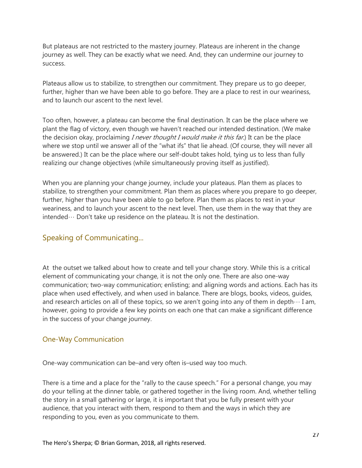But plateaus are not restricted to the mastery journey. Plateaus are inherent in the change journey as well. They can be exactly what we need. And, they can undermine our journey to success.

Plateaus allow us to stabilize, to strengthen our commitment. They prepare us to go deeper, further, higher than we have been able to go before. They are a place to rest in our weariness, and to launch our ascent to the next level.

Too often, however, a plateau can become the final destination. It can be the place where we plant the flag of victory, even though we haven't reached our intended destination. (We make the decision okay, proclaiming *I never thought I would make it this far*.) It can be the place where we stop until we answer all of the "what ifs" that lie ahead. (Of course, they will never all be answered.) It can be the place where our self-doubt takes hold, tying us to less than fully realizing our change objectives (while simultaneously proving itself as justified).

When you are planning your change journey, include your plateaus. Plan them as places to stabilize, to strengthen your commitment. Plan them as places where you prepare to go deeper, further, higher than you have been able to go before. Plan them as places to rest in your weariness, and to launch your ascent to the next level. Then, use them in the way that they are intended… Don't take up residence on the plateau. It is not the destination.

## <span id="page-26-0"></span>Speaking of Communicating...

At the outset we talked about how to create and tell your change story. While this is a critical element of communicating your change, it is not the only one. There are also one-way communication; two-way communication; enlisting; and aligning words and actions. Each has its place when used effectively, and when used in balance. There are blogs, books, videos, guides, and research articles on all of these topics, so we aren't going into any of them in depth $\cdots$  I am, however, going to provide a few key points on each one that can make a significant difference in the success of your change journey.

## <span id="page-26-1"></span>One-Way Communication

One-way communication can be–and very often is–used way too much.

There is a time and a place for the "rally to the cause speech." For a personal change, you may do your telling at the dinner table, or gathered together in the living room. And, whether telling the story in a small gathering or large, it is important that you be fully present with your audience, that you interact with them, respond to them and the ways in which they are responding to you, even as you communicate to them.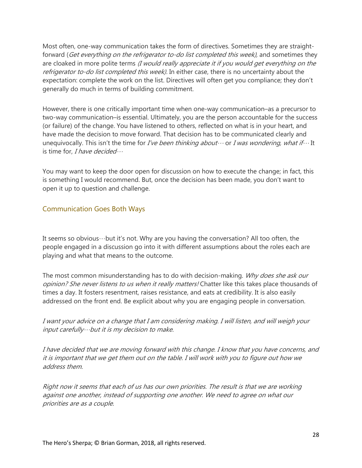Most often, one-way communication takes the form of directives. Sometimes they are straightforward (Get everything on the refrigerator to-do list completed this week), and sometimes they are cloaked in more polite terms *(I would really appreciate it if you would get everything on the* refrigerator to-do list completed this week). In either case, there is no uncertainty about the expectation: complete the work on the list. Directives will often get you compliance; they don't generally do much in terms of building commitment.

However, there is one critically important time when one-way communication–as a precursor to two-way communication–is essential. Ultimately, you are the person accountable for the success (or failure) of the change. You have listened to others, reflected on what is in your heart, and have made the decision to move forward. That decision has to be communicated clearly and unequivocally. This isn't the time for I've been thinking about  $\cdots$  or I was wondering, what if  $\cdots$  It is time for, I have decided  $\cdots$ 

You may want to keep the door open for discussion on how to execute the change; in fact, this is something I would recommend. But, once the decision has been made, you don't want to open it up to question and challenge.

## <span id="page-27-0"></span>Communication Goes Both Ways

It seems so obvious…but it's not. Why are you having the conversation? All too often, the people engaged in a discussion go into it with different assumptions about the roles each are playing and what that means to the outcome.

The most common misunderstanding has to do with decision-making. Why does she ask our opinion? She never listens to us when it really matters! Chatter like this takes place thousands of times a day. It fosters resentment, raises resistance, and eats at credibility. It is also easily addressed on the front end. Be explicit about why you are engaging people in conversation.

I want your advice on a change that I am considering making. I will listen, and will weigh your input carefully…but it is my decision to make.

I have decided that we are moving forward with this change. I know that you have concerns, and it is important that we get them out on the table. I will work with you to figure out how we address them.

Right now it seems that each of us has our own priorities. The result is that we are working against one another, instead of supporting one another. We need to agree on what our priorities are as a couple.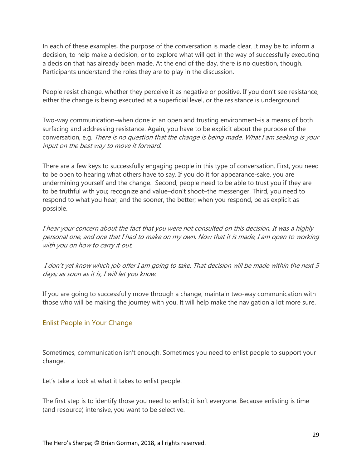In each of these examples, the purpose of the conversation is made clear. It may be to inform a decision, to help make a decision, or to explore what will get in the way of successfully executing a decision that has already been made. At the end of the day, there is no question, though. Participants understand the roles they are to play in the discussion.

People resist change, whether they perceive it as negative or positive. If you don't see resistance, either the change is being executed at a superficial level, or the resistance is underground.

Two-way communication–when done in an open and trusting environment–is a means of both surfacing and addressing resistance. Again, you have to be explicit about the purpose of the conversation, e.g. There is no question that the change is being made. What I am seeking is your input on the best way to move it forward.

There are a few keys to successfully engaging people in this type of conversation. First, you need to be open to hearing what others have to say. If you do it for appearance-sake, you are undermining yourself and the change. Second, people need to be able to trust you if they are to be truthful with you; recognize and value–don't shoot–the messenger. Third, you need to respond to what you hear, and the sooner, the better; when you respond, be as explicit as possible.

I hear your concern about the fact that you were not consulted on this decision. It was a highly personal one, and one that I had to make on my own. Now that it is made, I am open to working with you on how to carry it out.

I don't yet know which job offer I am going to take. That decision will be made within the next 5 days; as soon as it is, I will let you know.

If you are going to successfully move through a change, maintain two-way communication with those who will be making the journey with you. It will help make the navigation a lot more sure.

## <span id="page-28-0"></span>Enlist People in Your Change

Sometimes, communication isn't enough. Sometimes you need to enlist people to support your change.

Let's take a look at what it takes to enlist people.

The first step is to identify those you need to enlist; it isn't everyone. Because enlisting is time (and resource) intensive, you want to be selective.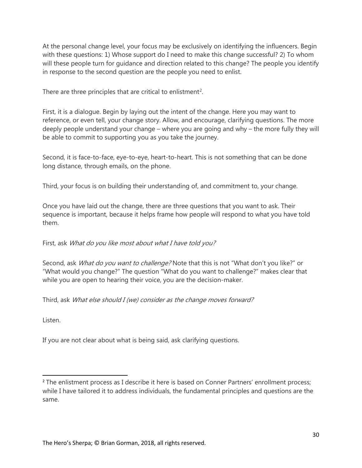At the personal change level, your focus may be exclusively on identifying the influencers. Begin with these questions: 1) Whose support do I need to make this change successful? 2) To whom will these people turn for guidance and direction related to this change? The people you identify in response to the second question are the people you need to enlist.

There are three principles that are critical to enlistment<sup>[2](#page-29-0)</sup>.

First, it is a dialogue. Begin by laying out the intent of the change. Here you may want to reference, or even tell, your change story. Allow, and encourage, clarifying questions. The more deeply people understand your change – where you are going and why – the more fully they will be able to commit to supporting you as you take the journey.

Second, it is face-to-face, eye-to-eye, heart-to-heart. This is not something that can be done long distance, through emails, on the phone.

Third, your focus is on building their understanding of, and commitment to, your change.

Once you have laid out the change, there are three questions that you want to ask. Their sequence is important, because it helps frame how people will respond to what you have told them.

First, ask What do you like most about what I have told you?

Second, ask What do you want to challenge? Note that this is not "What don't you like?" or "What would you change?" The question "What do you want to challenge?" makes clear that while you are open to hearing their voice, you are the decision-maker.

Third, ask What else should I (we) consider as the change moves forward?

Listen.

If you are not clear about what is being said, ask clarifying questions.

<span id="page-29-0"></span><sup>&</sup>lt;sup>2</sup> The enlistment process as I describe it here is based on Conner Partners' enrollment process; while I have tailored it to address individuals, the fundamental principles and questions are the same.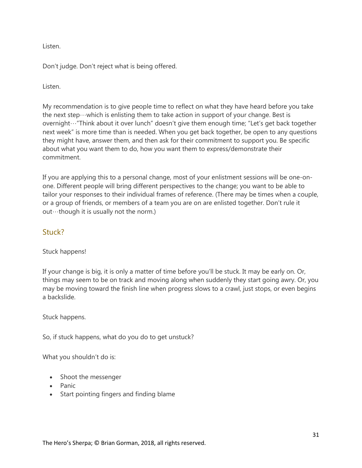Listen.

Don't judge. Don't reject what is being offered.

Listen.

My recommendation is to give people time to reflect on what they have heard before you take the next step $\cdots$ which is enlisting them to take action in support of your change. Best is overnight…"Think about it over lunch" doesn't give them enough time; "Let's get back together next week" is more time than is needed. When you get back together, be open to any questions they might have, answer them, and then ask for their commitment to support you. Be specific about what you want them to do, how you want them to express/demonstrate their commitment.

If you are applying this to a personal change, most of your enlistment sessions will be one-onone. Different people will bring different perspectives to the change; you want to be able to tailor your responses to their individual frames of reference. (There may be times when a couple, or a group of friends, or members of a team you are on are enlisted together. Don't rule it out…though it is usually not the norm.)

## <span id="page-30-0"></span>Stuck?

Stuck happens!

If your change is big, it is only a matter of time before you'll be stuck. It may be early on. Or, things may seem to be on track and moving along when suddenly they start going awry. Or, you may be moving toward the finish line when progress slows to a crawl, just stops, or even begins a backslide.

Stuck happens.

So, if stuck happens, what do you do to get unstuck?

What you shouldn't do is:

- Shoot the messenger
- Panic
- Start pointing fingers and finding blame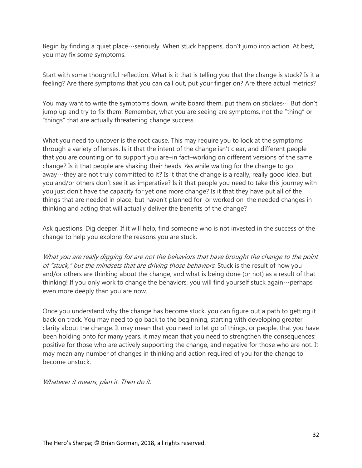Begin by finding a quiet place…seriously. When stuck happens, don't jump into action. At best, you may fix some symptoms.

Start with some thoughtful reflection. What is it that is telling you that the change is stuck? Is it a feeling? Are there symptoms that you can call out, put your finger on? Are there actual metrics?

You may want to write the symptoms down, white board them, put them on stickies  $\cdots$  But don't jump up and try to fix them. Remember, what you are seeing are symptoms, not the "thing" or "things" that are actually threatening change success.

What you need to uncover is the root cause. This may require you to look at the symptoms through a variety of lenses. Is it that the intent of the change isn't clear, and different people that you are counting on to support you are–in fact–working on different versions of the same change? Is it that people are shaking their heads Yes while waiting for the change to go away…they are not truly committed to it? Is it that the change is a really, really good idea, but you and/or others don't see it as imperative? Is it that people you need to take this journey with you just don't have the capacity for yet one more change? Is it that they have put all of the things that are needed in place, but haven't planned for–or worked on–the needed changes in thinking and acting that will actually deliver the benefits of the change?

Ask questions. Dig deeper. If it will help, find someone who is not invested in the success of the change to help you explore the reasons you are stuck.

What you are really digging for are not the behaviors that have brought the change to the point of "stuck," but the mindsets that are driving those behaviors. Stuck is the result of how you and/or others are thinking about the change, and what is being done (or not) as a result of that thinking! If you only work to change the behaviors, you will find yourself stuck again…perhaps even more deeply than you are now.

Once you understand why the change has become stuck, you can figure out a path to getting it back on track. You may need to go back to the beginning, starting with developing greater clarity about the change. It may mean that you need to let go of things, or people, that you have been holding onto for many years. it may mean that you need to strengthen the consequences: positive for those who are actively supporting the change, and negative for those who are not. It may mean any number of changes in thinking and action required of you for the change to become unstuck.

Whatever it means, plan it. Then do it.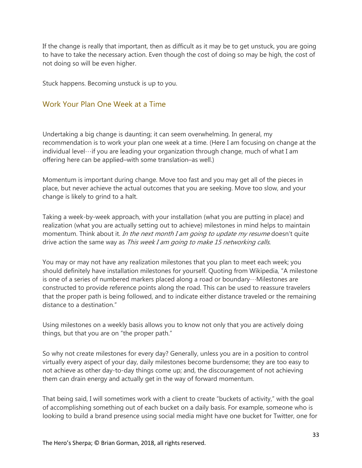If the change is really that important, then as difficult as it may be to get unstuck, you are going to have to take the necessary action. Even though the cost of doing so may be high, the cost of not doing so will be even higher.

Stuck happens. Becoming unstuck is up to you.

## <span id="page-32-0"></span>Work Your Plan One Week at a Time

Undertaking a big change is daunting; it can seem overwhelming. In general, my recommendation is to work your plan one week at a time. (Here I am focusing on change at the individual level…if you are leading your organization through change, much of what I am offering here can be applied–with some translation–as well.)

Momentum is important during change. Move too fast and you may get all of the pieces in place, but never achieve the actual outcomes that you are seeking. Move too slow, and your change is likely to grind to a halt.

Taking a week-by-week approach, with your installation (what you are putting in place) and realization (what you are actually setting out to achieve) milestones in mind helps to maintain momentum. Think about it. In the next month I am going to update my resume doesn't quite drive action the same way as This week I am going to make 15 networking calls.

You may or may not have any realization milestones that you plan to meet each week; you should definitely have installation milestones for yourself. Quoting from Wikipedia, "A milestone is one of a series of numbered markers placed along a road or boundary…Milestones are constructed to provide reference points along the road. This can be used to reassure travelers that the proper path is being followed, and to indicate either distance traveled or the remaining distance to a destination."

Using milestones on a weekly basis allows you to know not only that you are actively doing things, but that you are on "the proper path."

So why not create milestones for every day? Generally, unless you are in a position to control virtually every aspect of your day, daily milestones become burdensome; they are too easy to not achieve as other day-to-day things come up; and, the discouragement of not achieving them can drain energy and actually get in the way of forward momentum.

That being said, I will sometimes work with a client to create "buckets of activity," with the goal of accomplishing something out of each bucket on a daily basis. For example, someone who is looking to build a brand presence using social media might have one bucket for Twitter, one for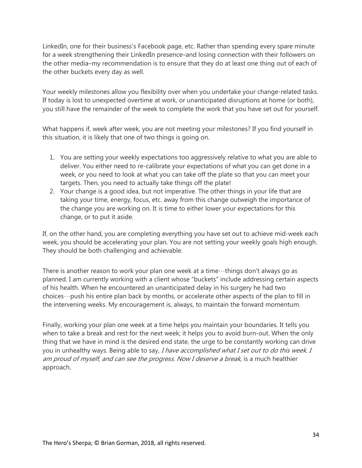LinkedIn, one for their business's Facebook page, etc. Rather than spending every spare minute for a week strengthening their LinkedIn presence–and losing connection with their followers on the other media–my recommendation is to ensure that they do at least one thing out of each of the other buckets every day as well.

Your weekly milestones allow you flexibility over when you undertake your change-related tasks. If today is lost to unexpected overtime at work, or unanticipated disruptions at home (or both), you still have the remainder of the week to complete the work that you have set out for yourself.

What happens if, week after week, you are not meeting your milestones? If you find yourself in this situation, it is likely that one of two things is going on.

- 1. You are setting your weekly expectations too aggressively relative to what you are able to deliver. You either need to re-calibrate your expectations of what you can get done in a week, or you need to look at what you can take off the plate so that you can meet your targets. Then, you need to actually take things off the plate!
- 2. Your change is a good idea, but not imperative. The other things in your life that are taking your time, energy, focus, etc. away from this change outweigh the importance of the change you are working on. It is time to either lower your expectations for this change, or to put it aside.

If, on the other hand, you are completing everything you have set out to achieve mid-week each week, you should be accelerating your plan. You are not setting your weekly goals high enough. They should be both challenging and achievable.

There is another reason to work your plan one week at a time $\cdots$ things don't always go as planned. I am currently working with a client whose "buckets" include addressing certain aspects of his health. When he encountered an unanticipated delay in his surgery he had two choices…push his entire plan back by months, or accelerate other aspects of the plan to fill in the intervening weeks. My encouragement is, always, to maintain the forward momentum.

Finally, working your plan one week at a time helps you maintain your boundaries. It tells you when to take a break and rest for the next week; it helps you to avoid burn-out. When the only thing that we have in mind is the desired end state, the urge to be constantly working can drive you in unhealthy ways. Being able to say, I have accomplished what I set out to do this week. I am proud of myself, and can see the progress. Now I deserve a break, is a much healthier approach.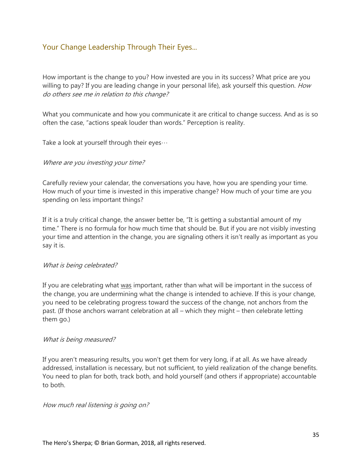## <span id="page-34-0"></span>Your Change Leadership Through Their Eyes...

How important is the change to you? How invested are you in its success? What price are you willing to pay? If you are leading change in your personal life), ask yourself this question. How do others see me in relation to this change?

What you communicate and how you communicate it are critical to change success. And as is so often the case, "actions speak louder than words." Perception is reality.

Take a look at yourself through their eyes…

#### Where are you investing your time?

Carefully review your calendar, the conversations you have, how you are spending your time. How much of your time is invested in this imperative change? How much of your time are you spending on less important things?

If it is a truly critical change, the answer better be, "It is getting a substantial amount of my time." There is no formula for how much time that should be. But if you are not visibly investing your time and attention in the change, you are signaling others it isn't really as important as you say it is.

#### What is being celebrated?

If you are celebrating what was important, rather than what will be important in the success of the change, you are undermining what the change is intended to achieve. If this is your change, you need to be celebrating progress toward the success of the change, not anchors from the past. (If those anchors warrant celebration at all – which they might – then celebrate letting them go.)

#### What is being measured?

If you aren't measuring results, you won't get them for very long, if at all. As we have already addressed, installation is necessary, but not sufficient, to yield realization of the change benefits. You need to plan for both, track both, and hold yourself (and others if appropriate) accountable to both.

#### How much real listening is going on?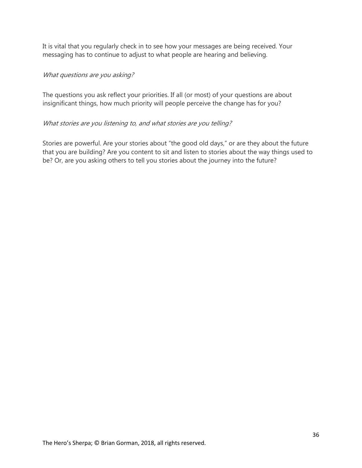It is vital that you regularly check in to see how your messages are being received. Your messaging has to continue to adjust to what people are hearing and believing.

#### What questions are you asking?

The questions you ask reflect your priorities. If all (or most) of your questions are about insignificant things, how much priority will people perceive the change has for you?

#### What stories are you listening to, and what stories are you telling?

Stories are powerful. Are your stories about "the good old days," or are they about the future that you are building? Are you content to sit and listen to stories about the way things used to be? Or, are you asking others to tell you stories about the journey into the future?